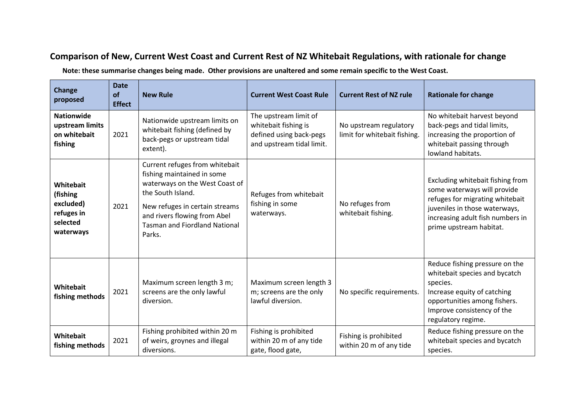## **Comparison of New, Current West Coast and Current Rest of NZ Whitebait Regulations, with rationale for change**

**Note: these summarise changes being made. Other provisions are unaltered and some remain specific to the West Coast.**

| <b>Change</b><br>proposed                                                 | <b>Date</b><br>of<br><b>Effect</b> | <b>New Rule</b>                                                                                                                                                                                                                         | <b>Current West Coast Rule</b>                                                                        | <b>Current Rest of NZ rule</b>                         | <b>Rationale for change</b>                                                                                                                                                                        |
|---------------------------------------------------------------------------|------------------------------------|-----------------------------------------------------------------------------------------------------------------------------------------------------------------------------------------------------------------------------------------|-------------------------------------------------------------------------------------------------------|--------------------------------------------------------|----------------------------------------------------------------------------------------------------------------------------------------------------------------------------------------------------|
| <b>Nationwide</b><br>upstream limits<br>on whitebait<br>fishing           | 2021                               | Nationwide upstream limits on<br>whitebait fishing (defined by<br>back-pegs or upstream tidal<br>extent).                                                                                                                               | The upstream limit of<br>whitebait fishing is<br>defined using back-pegs<br>and upstream tidal limit. | No upstream regulatory<br>limit for whitebait fishing. | No whitebait harvest beyond<br>back-pegs and tidal limits,<br>increasing the proportion of<br>whitebait passing through<br>lowland habitats.                                                       |
| Whitebait<br>(fishing<br>excluded)<br>refuges in<br>selected<br>waterways | 2021                               | Current refuges from whitebait<br>fishing maintained in some<br>waterways on the West Coast of<br>the South Island.<br>New refuges in certain streams<br>and rivers flowing from Abel<br><b>Tasman and Fiordland National</b><br>Parks. | Refuges from whitebait<br>fishing in some<br>waterways.                                               | No refuges from<br>whitebait fishing.                  | Excluding whitebait fishing from<br>some waterways will provide<br>refuges for migrating whitebait<br>juveniles in those waterways,<br>increasing adult fish numbers in<br>prime upstream habitat. |
| Whitebait<br>fishing methods                                              | 2021                               | Maximum screen length 3 m;<br>screens are the only lawful<br>diversion.                                                                                                                                                                 | Maximum screen length 3<br>m; screens are the only<br>lawful diversion.                               | No specific requirements.                              | Reduce fishing pressure on the<br>whitebait species and bycatch<br>species.<br>Increase equity of catching<br>opportunities among fishers.<br>Improve consistency of the<br>regulatory regime.     |
| Whitebait<br>fishing methods                                              | 2021                               | Fishing prohibited within 20 m<br>of weirs, groynes and illegal<br>diversions.                                                                                                                                                          | Fishing is prohibited<br>within 20 m of any tide<br>gate, flood gate,                                 | Fishing is prohibited<br>within 20 m of any tide       | Reduce fishing pressure on the<br>whitebait species and bycatch<br>species.                                                                                                                        |